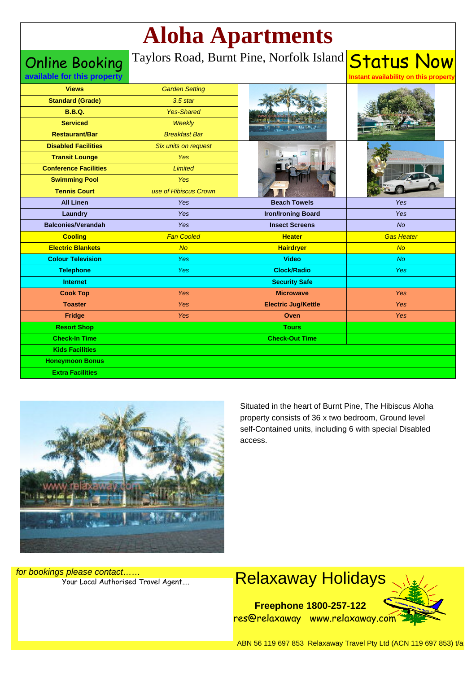# **Aloha Apartments**

Online Booking

## Taylors Road, Burnt Pine, Norfolk Island <mark>Status Now</mark>

**Instant availability on this property**

| available for this property  |                       |                            | Instant availability on this property |
|------------------------------|-----------------------|----------------------------|---------------------------------------|
| <b>Views</b>                 | <b>Garden Setting</b> |                            |                                       |
| <b>Standard (Grade)</b>      | $3.5$ star            |                            |                                       |
| <b>B.B.Q.</b>                | <b>Yes-Shared</b>     |                            |                                       |
| <b>Serviced</b>              | Weekly                |                            |                                       |
| <b>Restaurant/Bar</b>        | <b>Breakfast Bar</b>  |                            |                                       |
| <b>Disabled Facilities</b>   | Six units on request  |                            |                                       |
| <b>Transit Lounge</b>        | <b>Yes</b>            |                            |                                       |
| <b>Conference Facilities</b> | <b>Limited</b>        |                            |                                       |
| <b>Swimming Pool</b>         | Yes                   |                            |                                       |
| <b>Tennis Court</b>          | use of Hibiscus Crown |                            |                                       |
| <b>All Linen</b>             | Yes                   | <b>Beach Towels</b>        | Yes                                   |
| Laundry                      | Yes                   | <b>Iron/Ironing Board</b>  | Yes                                   |
| <b>Balconies/Verandah</b>    | Yes                   | <b>Insect Screens</b>      | <b>No</b>                             |
| <b>Cooling</b>               | <b>Fan Cooled</b>     | <b>Heater</b>              | <b>Gas Heater</b>                     |
| <b>Electric Blankets</b>     | No                    | <b>Hairdryer</b>           | No                                    |
| <b>Colour Television</b>     | <b>Yes</b>            | <b>Video</b>               | <b>No</b>                             |
| <b>Telephone</b>             | <b>Yes</b>            | <b>Clock/Radio</b>         | <b>Yes</b>                            |
| <b>Internet</b>              |                       | <b>Security Safe</b>       |                                       |
| <b>Cook Top</b>              | Yes                   | <b>Microwave</b>           | Yes                                   |
| <b>Toaster</b>               | <b>Yes</b>            | <b>Electric Jug/Kettle</b> | Yes                                   |
| Fridge                       | Yes                   | Oven                       | Yes                                   |
| <b>Resort Shop</b>           |                       | <b>Tours</b>               |                                       |
| <b>Check-In Time</b>         |                       | <b>Check-Out Time</b>      |                                       |
| <b>Kids Facilities</b>       |                       |                            |                                       |
| <b>Honeymoon Bonus</b>       |                       |                            |                                       |
| <b>Extra Facilities</b>      |                       |                            |                                       |



Situated in the heart of Burnt Pine, The Hibiscus Aloha property consists of 36 x two bedroom, Ground level self-Contained units, including 6 with special Disabled access.

for bookings please contact……